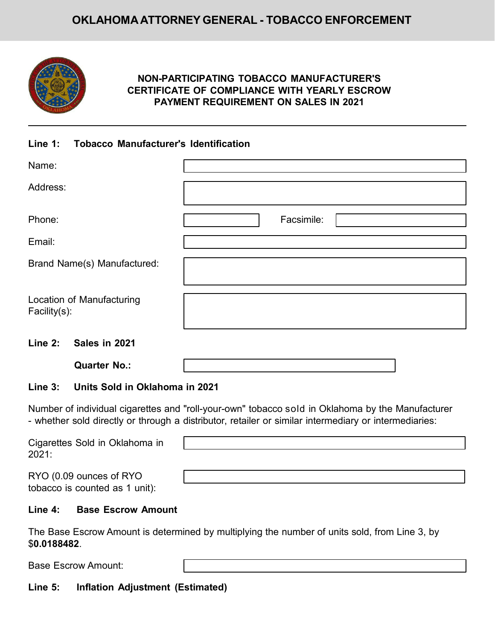# **OKLAHOMAATTORNEY GENERAL - TOBACCO ENFORCEMENT**



## **NON-PARTICIPATING TOBACCO MANUFACTURER'S CERTIFICATE OF COMPLIANCE WITH YEARLY ESCROW PAYMENT REQUIREMENT ON SALES IN 2021**

#### **Line 1: Tobacco Manufacturer's Identification**

| Name:                                     |            |
|-------------------------------------------|------------|
| Address:                                  |            |
| Phone:                                    | Facsimile: |
| Email:                                    |            |
| Brand Name(s) Manufactured:               |            |
| Location of Manufacturing<br>Facility(s): |            |
| $l$ inn $2i$<br>- Calos in 2021           |            |

#### **Line 2: Sales in 2021**

**Quarter No.:**

### **Line 3: Units Sold in Oklahoma in 2021**

Number of individual cigarettes and "roll-your-own" tobacco sold in Oklahoma by the Manufacturer - whether sold directly or through a distributor, retailer or similar intermediary or intermediaries:

| Cigarettes Sold in Oklahoma in<br>2021:                   |  |
|-----------------------------------------------------------|--|
| RYO (0.09 ounces of RYO<br>tobacco is counted as 1 unit): |  |

#### **Line 4: Base Escrow Amount**

The Base Escrow Amount is determined by multiplying the number of units sold, from Line 3, by \$**0.0188482**.

Base Escrow Amount:

# **Line 5: Inflation Adjustment (Estimated)**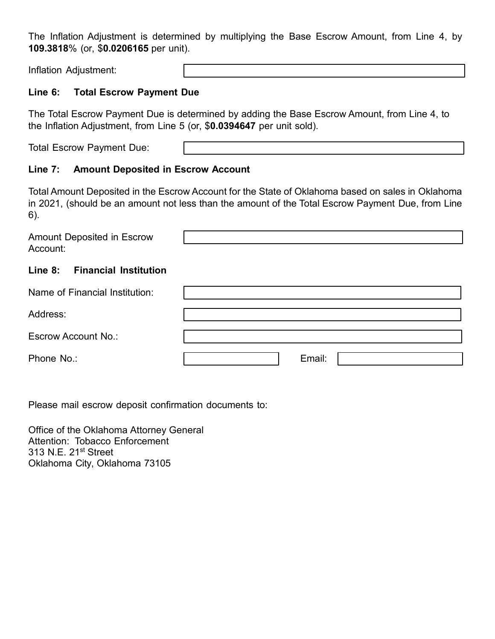The Inflation Adjustment is determined by multiplying the Base Escrow Amount, from Line 4, by **109.3818**% (or, \$**0.0206165** per unit).

Inflation Adjustment:

### **Line 6: Total Escrow Payment Due**

The Total Escrow Payment Due is determined by adding the Base Escrow Amount, from Line 4, to the Inflation Adjustment, from Line 5 (or, \$**0.0394647** per unit sold).

Total Escrow Payment Due:

### **Line 7: Amount Deposited in Escrow Account**

Total Amount Deposited in the Escrow Account for the State of Oklahoma based on sales in Oklahoma in 2021, (should be an amount not less than the amount of the Total Escrow Payment Due, from Line 6).

| Amount Deposited in Escrow<br>Account:  |        |
|-----------------------------------------|--------|
| Line 8:<br><b>Financial Institution</b> |        |
| Name of Financial Institution:          |        |
| Address:                                |        |
| Escrow Account No.:                     |        |
| Phone No.:                              | Email: |

Please mail escrow deposit confirmation documents to:

Office of the Oklahoma Attorney General Attention: Tobacco Enforcement 313 N.E. 21<sup>st</sup> Street Oklahoma City, Oklahoma 73105